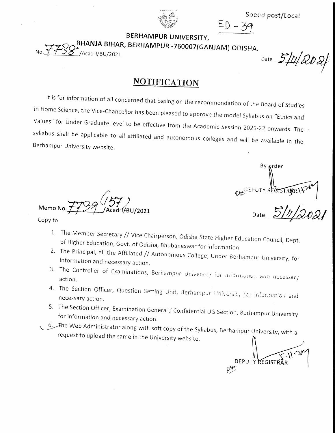



 $ED - 39$ BERHAMPUR UNIVERSITY,

BHANJA BIHAR, BERHAMPUR -760007(GANJAM) ODISHA.

/Acad-I/BU/2021

Date 5/11/2021

### **NOTIFICATION**

It is for information of all concerned that basing on the recommendation of the Board of Studies in Home Science, the Vice-Chancellor has been pleased to approve the model Syllabus on "Ethics and Values" for Under Graduate level to be effective from the Academic Session 2021-22 onwards. The syllabus shall be applicable to all affiliated and autonomous colleges and will be available in the Berhampur University website.

Memo No Copy to

By prder

- 1. The Member Secretary // Vice Chairperson, Odisha State Higher Education Council, Dept. of Higher Education, Govt. of Odisha, Bhubaneswar for information.
- 2. The Principal, all the Affiliated // Autonomous College, Under Berhampur University, for information and necessary action.
- 3. The Controller of Examinations, Berhampur University for mibimation and necessar, action.
- 4. The Section Officer, Question Setting Unit, Berhampur University for information and necessary action.
- 5. The Section Officer, Examination General / Confidential UG Section, Berhampur University for information and necessary action.
- 6. The Web Administrator along with soft copy of the Syllabus, Berhampur University, with a request to upload the same in the University website.

**DEPUTY REGIST**  $\varphi$ let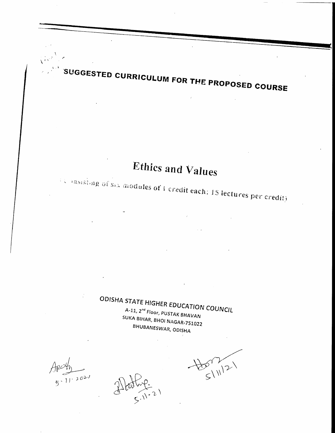# Ethics and Values

SUGGESTED CURRICULUM FOR THE PROPOSED COURSE

**Example of Six modules of 1 credit each: 15 lectures per credit)** 

ODISHA STATE HIGHER EDUCATION COUNCIL A-11, 2<sup>nd</sup> Floor, PUSTAK BHAVAN SUKA BIHAR, BHOI NAGAR-751022 BHUBANESWAR, ODISHA

 $AP = \frac{1}{5.11.2021}$ 

EX 11/21

 $\frac{1}{2}$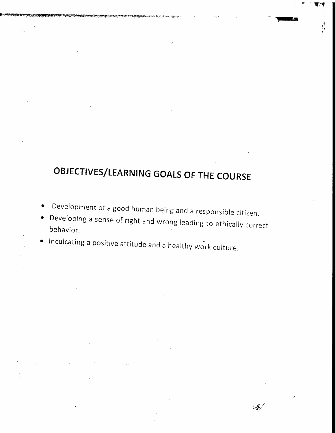# OBJECTIVES/LEARNING GOALS OF THE COURSE

'H'S

,J  $: \cdot$ I

G

 $48/$ 

- $\bullet$ Development of a good human being and a responsible citizen.
- $\bullet$ Developing a sense of right and wrong leading to ethically correct behavior.
- Inculcating a positive attitude and a healthy work culture.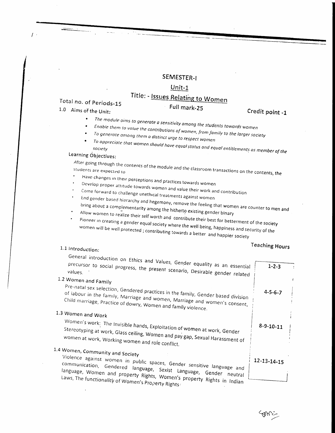### SEMESTER-I

#### $Unit-1$

# Title: - Issues Relating to Women

### Total no. of Periods-15

### 1.0 Aims of the Unit:

### Credit point -1

- $\bullet$
- The module aims to generate a sensitivity among the students towards women
- Enable them to value the contributions of women, from family to the larger society To generate among them a distinct urge to respect women
- 
- To appreciate that women should have equal status and equal entitlements as member of the

Full mark-25

### Learning Objectives:

After going through the contents of the module and the classroom transactions on the contents, the students are expected to

- 
- Have changes in their perceptions and practices towards women
- Develop proper attitude towards women and value their work and contribution
- Come forward to challenge unethical treatments against women End gender based hierarchy and hegemony, remove the feeling that women are counter to men and bring about a complementarity among the hitherto existing gender binary

Allow women to realize their self worth and contribute their best for betterment of the society Pioneer in creating a gender equal society where the well being, happiness and security of the women will be well protected; contributing towards a better and happier society

### 1.1 Introduction:

### **Teaching Hours**

| General introduction on Ethics and Values, Gender equality as an essential<br>precursor to social progress, the present scenario, Desirable gender related                                                                                                                                                                                                                       | $1 - 2 - 3$       |  |
|----------------------------------------------------------------------------------------------------------------------------------------------------------------------------------------------------------------------------------------------------------------------------------------------------------------------------------------------------------------------------------|-------------------|--|
| 1.2 Women and Family<br>Pre-natal sex selection, Gendered practices in the family, Gender based division                                                                                                                                                                                                                                                                         | $4 - 5 - 6 - 7$   |  |
| of labour in the family, Marriage and women, Marriage and women's consent,<br>Child marriage, Practice of dowry, Women and family violence.<br>1.3 Women and Work<br>Women's work: The Invisible hands, Exploitation of women at work, Gender<br>Stereotyping at work, Glass ceiling, Women and pay gap, Sexual Harassment of<br>women at work, Working women and role conflict. | $8 - 9 - 10 - 11$ |  |
| 1.4 Women, Community and Society<br>Violence against women in public spaces, Gender sensitive language and<br>communication, Gendered language, Sexist Language, Gender neutral<br>language, Women and property Rights, Women's property Rights in Indian<br>Laws, The functionality of Women's Property Rights:                                                                 | 12-13-14-15       |  |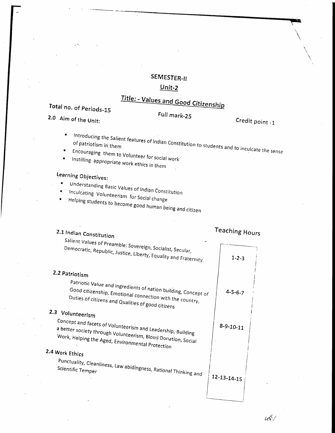### SEMESTER-II

### $Unit-2$ </u>

# Title: - Values and Good Citizenship

# Total no. of Periods-15

2.0 Aim of the Unit:

# Full mark-25

Credit point -1

Introducing the Salient features of Indian Constitution to students and to inculcate the sense  $\bullet$ 

- Encouraging them to Volunteer for social work
- Instilling appropriate work ethics in them  $\bullet$

# Learning Objectives:

- $\bullet$
- Understanding Basic Values of Indian Constitution  $\bullet$
- Inculcating Volunteerism for Social change Helping students to become good human being and citizen  $\bullet$ 
	-

| 2.1 Indian Constitution                                                                                                                                                          | <b>Teaching Hours</b> |
|----------------------------------------------------------------------------------------------------------------------------------------------------------------------------------|-----------------------|
| Salient Values of Preamble: Sovereign, Socialist, Secular,<br>Democratic, Republic, Justice, Liberty, Equality and Fraternity.                                                   | $1 - 2 - 3$           |
| 2.2 Patriotism                                                                                                                                                                   |                       |
| Patriotic Value and ingredients of nation building, Concept of<br>Good citizenship, Emotional connection with the country,<br>Duties of citizens and Qualities of good citizens  | $4 - 5 - 6 - 7$       |
| 2.3 Volunteerism                                                                                                                                                                 |                       |
| Concept and facets of Volunteerism and Leadership, Building<br>a better society through Volunteerism, Blood Donation, Social<br>Work, Helping the Aged, Environmental Protection | $8 - 9 - 10 - 11$     |
| 2.4 Work Ethics                                                                                                                                                                  |                       |
| Punctuality, Cleanliness, Law abidingness, Rational Thinking and<br>Scientific Temper                                                                                            | $12 - 13 - 14 - 15$   |

u\$/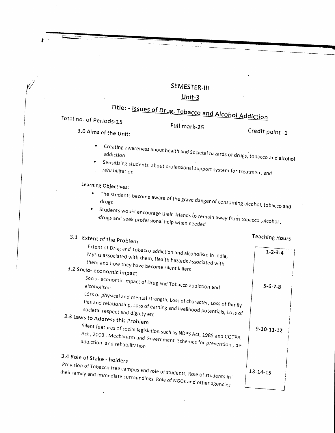### SEMESTER-III

### $Unit-3$

# Title: - Issues of Drug, Tobacco and Alcohol Addiction

Total no. of Periods-15

3.0 Aims of the Unit:

Full mark-25

Credit point -1

- Creating awareness about health and Societal hazards of drugs, tobacco and alcohol
- Sensitizing students about professional support system for treatment and

Learning Objectives:

- The students become aware of the grave danger of consuming alcohol, tobacco and  $\bullet$
- \* Students would encourage their friends to remain away from tobacco , alcohol, drugs and seek professional help when needed

# 3.1 Extent of the Problem

### **Teaching Hours**

| Extent of Drug and Tobacco addiction and alcoholism in India,<br>Myths associated with them, Health hazards associated with<br>them and how they have become silent killers<br>3.2 Socio-economic impact                                                                                                                                                                  | $1 - 2 - 3 - 4$    |  |
|---------------------------------------------------------------------------------------------------------------------------------------------------------------------------------------------------------------------------------------------------------------------------------------------------------------------------------------------------------------------------|--------------------|--|
| Socio-economic impact of Drug and Tobacco addiction and                                                                                                                                                                                                                                                                                                                   | $5 - 6 - 7 - 8$    |  |
| Loss of physical and mental strength, Loss of character, Loss of family<br>ties and relationship, Loss of earning and livelihood potentials, Loss of<br>societal respect and dignity etc<br>3.3 Laws to Address this Problem<br>Silent features of social legislation such as NDPS Act, 1985 and COTPA<br>Act, 2003, Mechanism and Government Schemes for prevention, de- | $9 - 10 - 11 - 12$ |  |
| 3.4 Role of Stake - holders<br>Provision of Tobacco free campus and role of students, Role of students in<br>their family and immediate surroundings, Role of NGOs and other agencies                                                                                                                                                                                     | $13 - 14 - 15$     |  |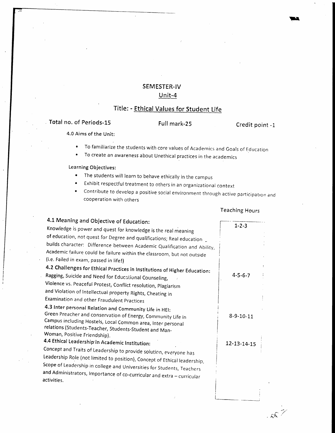### SEMESTER-IV Unit-4

### Title: - Ethical Values for Student Life

### Total no. of Periods-15 Full mark-25

Credit point -1

Irr

4.0 Aims of the

- To familiarize the students with core values of Acadernics and Goals of Education  $\bullet$
- To create an awareness about Unethical practices in the academics  $\bullet$

Learning Objectives:

- . The students will learn to behave ethically in the campus
- Exhibit respectful treatment to others in an organizational context  $\bullet$
- Contribute to develop a positive social environment through active participation and  $\bullet$ cooperation with others

#### Teaching Hours

-,  $\mathcal{E}(\mathcal{E})$ 

| 4.1 Meaning and Objective of Education:                                                |                   |
|----------------------------------------------------------------------------------------|-------------------|
| Knowledge is power and quest for knowledge is the real meaning                         | $1 - 2 - 3$       |
| of education, not quest for Degree and qualifications; Real education                  |                   |
| builds character: Difference between Academic Qualification and Ability,               |                   |
| Academic failure could be failure within the classroom, but not outside                |                   |
| (i.e. Failed in exam, passed in life!)                                                 |                   |
| 4.2 Challenges for Ethical Practices in Institutions of Higher Education:              |                   |
| Ragging, Suicide and Need for Educational Counseling,                                  | $4 - 5 - 6 - 7$   |
| Violence vs. Peaceful Protest, Conflict resolution, Plagiarism                         |                   |
| and Violation of Intellectual property Rights, Cheating in                             |                   |
| Examination and other Fraudulent Practices                                             |                   |
| 4.3 Inter personal Relation and Community Life in HEI:                                 |                   |
| Green Preacher and conservation of Energy, Community Life in                           | $8 - 9 - 10 - 11$ |
| Campus including Hostels, Local Common area, Inter personal                            |                   |
| relations (Students-Teacher, Students-Student and Man-<br>Woman, Positive Friendship). |                   |
| 4.4 Ethical Leadership in Academic Institution:                                        |                   |
|                                                                                        | 12-13-14-15       |
| Concept and Traits of Leadership to provide solution, everyone has                     |                   |
| Leadership Role (not limited to position), Concept of Ethical leadership,              |                   |
| Scope of Leadership in college and Universities for Students, Teachers                 |                   |
| and Administrators, Importance of co-curricular and extra - curricular<br>activities.  |                   |
|                                                                                        |                   |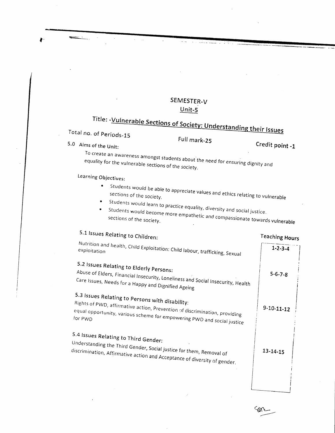### SEMESTER-V  $Unit-5$

# Title: - Vulnerable Sections of Society: Understanding their Issues

Total no. of Periods-15

5.0 Aims of the Unit:

Full mark-25

Credit point -1

To create an awareness amongst students about the need for ensuring dignity and equality for the vulnerable sections of the society.

## Learning Objectives:

- Students would be able to appreciate values and ethics relating to vulnerable  $\bullet$
- 
- Students would learn to practice equality, diversity and social justice. Students would become more empathetic and compassionate towards vulnerable  $\bullet$

# 5.1 Issues Relating to Children:

### **Teaching Hours**

| $\cdots$ anvurs    |
|--------------------|
| $1 - 2 - 3 - 4$    |
| $5 - 6 - 7 - 8$    |
| $9 - 10 - 11 - 12$ |
| $13 - 14 - 15$     |
|                    |